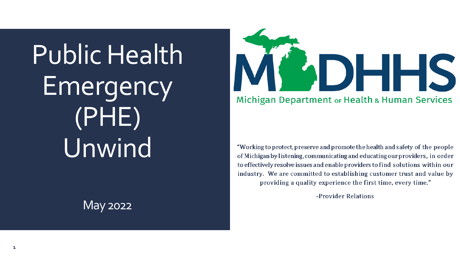Public Health Emergency (PHE) Unwind

#### May 2022



"Working to protect, preserve and promote the health and safety of the people of Michigan by listening, communicating and educating our providers, in order to effectively resolve issues and enable providers to find solutions within our industry. We are committed to establishing customer trust and value by providing a quality experience the first time, every time."

-Provider Relations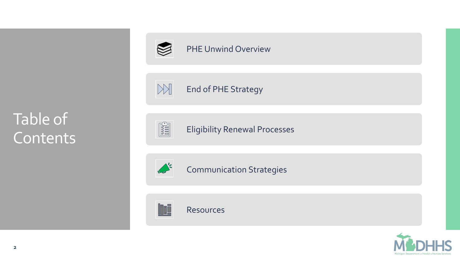

#### [PHE Unwind Overview](#page-8-0)





#### $\begin{picture}(120,115) \put(0,0){\line(1,0){15}} \put(15,0){\line(1,0){15}} \put(15,0){\line(1,0){15}} \put(15,0){\line(1,0){15}} \put(15,0){\line(1,0){15}} \put(15,0){\line(1,0){15}} \put(15,0){\line(1,0){15}} \put(15,0){\line(1,0){15}} \put(15,0){\line(1,0){15}} \put(15,0){\line(1,0){15}} \put(15,0){\line(1,0){15}} \put(15,0){\line$

Eligibility Renewal Processes



Communication Strategies



Resources

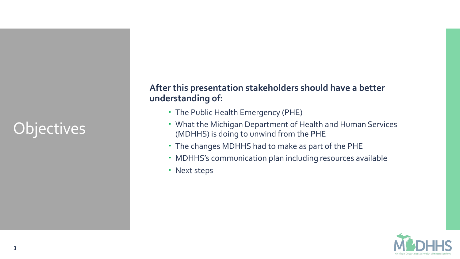## **Objectives**

#### **After this presentation stakeholders should have a better understanding of:**

- The Public Health Emergency (PHE)
- What the Michigan Department of Health and Human Services (MDHHS) is doing to unwind from the PHE
- The changes MDHHS had to make as part of the PHE
- MDHHS's communication plan including resources available
- Next steps

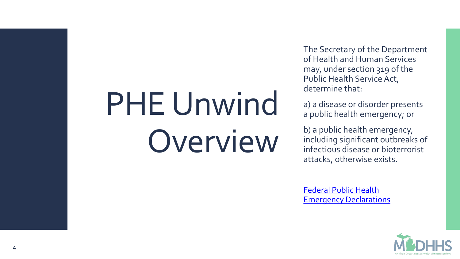## PHE Unwind Overview

The Secretary of the Department of Health and Human Services may, under section 319 of the Public Health Service Act, determine that:

a) a disease or disorder presents a public health emergency; or

b) a public health emergency, including significant outbreaks of infectious disease or bioterrorist attacks, otherwise exists.

[Federal Public Health](https://www.phe.gov/emergency/news/healthactions/phe/Pages/default.aspx)  Emergency Declarations

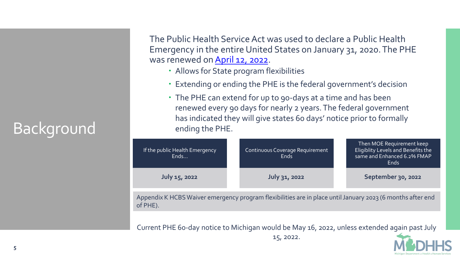## Background

The Public Health Service Act was used to declare a Public Health Emergency in the entire United States on January 31, 2020. The PHE was renewed on [April 12, 2022.](https://aspr.hhs.gov/legal/PHE/Pages/COVID19-12Apr2022.aspx)

- Allows for State program flexibilities
- Extending or ending the PHE is the federal government's decision
- The PHE can extend for up to 90-days at a time and has been renewed every 90 days for nearly 2 years. The federal government has indicated they will give states 60 days' notice prior to formally ending the PHE.

| If the public Health Emergency<br>Ends       | Continuous Coverage Requirement<br><b>Ends</b>                                                                  | Then MOE Requirement keep<br>Eligiblity Levels and Benefits the<br>same and Enhanced 6.2% FMAP<br><b>Ends</b>                                                                                                                                                                                                      |
|----------------------------------------------|-----------------------------------------------------------------------------------------------------------------|--------------------------------------------------------------------------------------------------------------------------------------------------------------------------------------------------------------------------------------------------------------------------------------------------------------------|
| July 15, 2022                                | July 31, 2022                                                                                                   | September 30, 2022                                                                                                                                                                                                                                                                                                 |
|                                              |                                                                                                                 |                                                                                                                                                                                                                                                                                                                    |
| $\overline{a}$ $\overline{a}$ $\overline{a}$ | 그 그 사람들은 그 사람들이 아니라 그 사람들이 아니라 그 사람들이 아니라 그 사람들이 아니라 그 사람들이 아니라 그 사람들이 아니라 그 사람들이 아니라 그 사람들이 아니라 그 사람들이 아니라 그 사 | $\sqrt{2}$ $\sqrt{2}$ $\sqrt{2}$ $\sqrt{2}$ $\sqrt{2}$ $\sqrt{2}$ $\sqrt{2}$ $\sqrt{2}$ $\sqrt{2}$ $\sqrt{2}$ $\sqrt{2}$ $\sqrt{2}$ $\sqrt{2}$ $\sqrt{2}$ $\sqrt{2}$ $\sqrt{2}$ $\sqrt{2}$ $\sqrt{2}$ $\sqrt{2}$ $\sqrt{2}$ $\sqrt{2}$ $\sqrt{2}$ $\sqrt{2}$ $\sqrt{2}$ $\sqrt{2}$ $\sqrt{2}$ $\sqrt{2}$ $\sqrt{2$ |

Appendix K HCBS Waiver emergency program flexibilities are in place until January 2023 (6 months after end of PHE).

Current PHE 60-day notice to Michigan would be May 16, 2022, unless extended again past July 15, 2022.

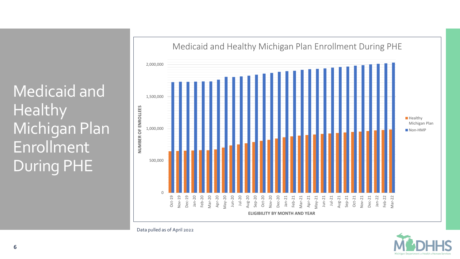Medicaid and Healthy Michigan Plan Enrollment During PHE





Data pulled as of April 2022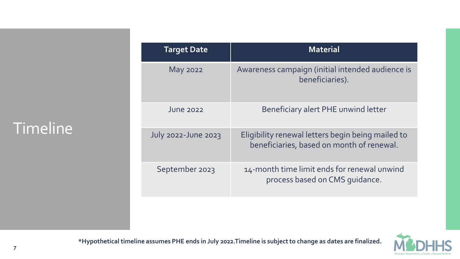#### Timeline

| <b>Target Date</b>         | <b>Material</b>                                                                                |
|----------------------------|------------------------------------------------------------------------------------------------|
| <b>May 2022</b>            | Awareness campaign (initial intended audience is<br>beneficiaries).                            |
| June 2022                  | Beneficiary alert PHE unwind letter                                                            |
| <b>July 2022-June 2023</b> | Eligibility renewal letters begin being mailed to<br>beneficiaries, based on month of renewal. |
| September 2023             | 14-month time limit ends for renewal unwind<br>process based on CMS quidance.                  |



**\*Hypothetical timeline assumes PHE ends in July 2022.Timeline is subject to change as dates are finalized.**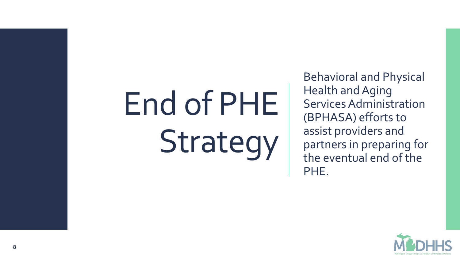# End of PHE Strategy

Behavioral and Physical Health and Aging Services Administration (BPHASA) efforts to assist providers and partners in preparing for the eventual end of the PHE.

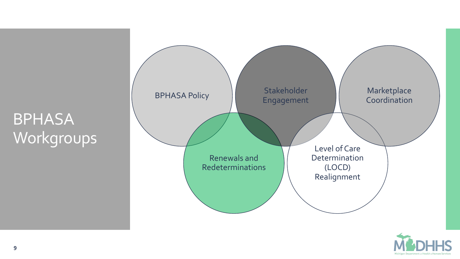## <span id="page-8-0"></span>**BPHASA** Workgroups



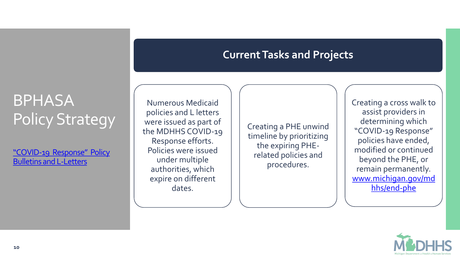#### **Current Tasks and Projects**

### **BPHASA** Policy Strategy

"COVID-19 Response" Policy [Bulletins and L-Letters](https://www.michigan.gov/mdhhs/assistance-programs/medicaid/portalhome/medicaid-providers/policyforms/policy-letters-and-forms)

Numerous Medicaid policies and L letters were issued as part of the MDHHS COVID-19 Response efforts. Policies were issued under multiple authorities, which expire on different dates.

Creating a PHE unwind timeline by prioritizing the expiring PHErelated policies and procedures.

Creating a cross walk to assist providers in determining which "COVID-19 Response" policies have ended, modified or continued beyond the PHE, or remain permanently. [www.michigan.gov/md](http://www.cms.michigan.gov/mdhhs/end-phe) hhs/end-phe

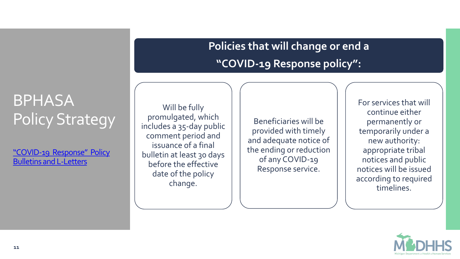#### **Policies that will change or end a "COVID-19 Response policy":**

### BPHASA Policy Strategy

"COVID-19 Response" Policy [Bulletins and L-Letters](https://www.michigan.gov/mdhhs/assistance-programs/medicaid/portalhome/medicaid-providers/policyforms/policy-letters-and-forms)

Will be fully promulgated, which includes a 35-day public comment period and issuance of a final bulletin at least 30 days before the effective date of the policy change.

Beneficiaries will be provided with timely and adequate notice of the ending or reduction of any COVID-19 Response service.

For services that will continue either permanently or temporarily under a new authority: appropriate tribal notices and public notices will be issued according to required timelines.

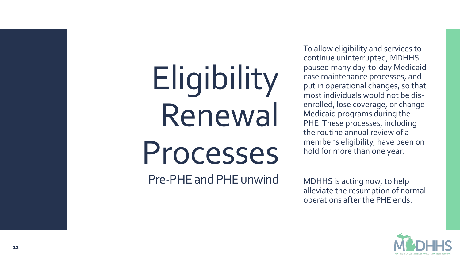## Eligibility Renewal Processes

Pre -PHE and PHE unwind

To allow eligibility and services to continue uninterrupted, MDHHS paused many day -to -day Medicaid case maintenance processes, and put in operational changes, so that most individuals would not be dis enrolled, lose coverage, or change Medicaid programs during the PHE. These processes, including the routine annual review of a member's eligibility, have been on hold for more than one year.

MDHHS is acting now, to help alleviate the resumption of normal operations after the PHE ends.

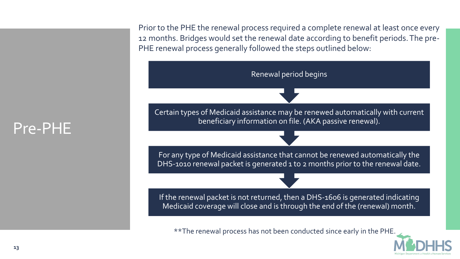Pre-PHE

Prior to the PHE the renewal process required a complete renewal at least once every 12 months. Bridges would set the renewal date according to benefit periods. The pre-PHE renewal process generally followed the steps outlined below:

If the renewal packet is not returned, then a DHS-1606 is generated indicating Medicaid coverage will close and is through the end of the (renewal) month. For any type of Medicaid assistance that cannot be renewed automatically the DHS-1010 renewal packet is generated 1 to 2 months prior to the renewal date. Certain types of Medicaid assistance may be renewed automatically with current beneficiary information on file. (AKA passive renewal). Renewal period begins

\*\*The renewal process has not been conducted since early in the PHE.

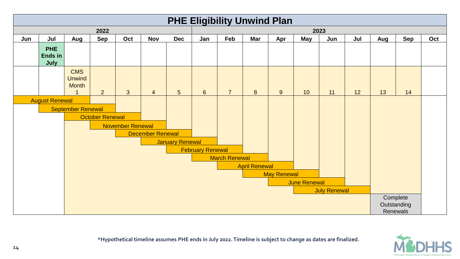



**\*Hypothetical timeline assumes PHE ends in July 2022. Timeline is subject to change as dates are finalized.**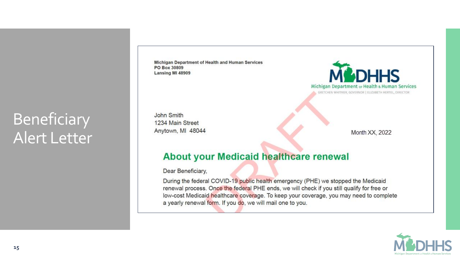### Beneficiary Alert Letter

Michigan Department of Health and Human Services PO Box 30809 Lansing MI 48909

John Smith 1234 Main Street Anytown, MI 48044



Month XX, 2022

#### About your Medicaid healthcare renewal

Dear Beneficiary,

During the federal COVID-19 public health emergency (PHE) we stopped the Medicaid renewal process. Once the federal PHE ends, we will check if you still qualify for free or low-cost Medicaid healthcare coverage. To keep your coverage, you may need to complete a yearly renewal form. If you do, we will mail one to you.

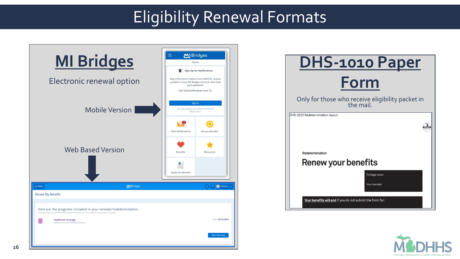### Eligibility Renewal Formats



| <b>DHS-1010 Paper</b>                                         |  |  |  |
|---------------------------------------------------------------|--|--|--|
| Form                                                          |  |  |  |
| Only for those who receive eligibility packet in<br>the mail. |  |  |  |
| DHS-1010 Redetermination layout                               |  |  |  |
|                                                               |  |  |  |
|                                                               |  |  |  |
| <b>Redetermination</b>                                        |  |  |  |
| <b>Renew your benefits</b>                                    |  |  |  |
| Full legal name:                                              |  |  |  |
| Your due date:                                                |  |  |  |
| Your benefits will end if you do not submit the form for:     |  |  |  |

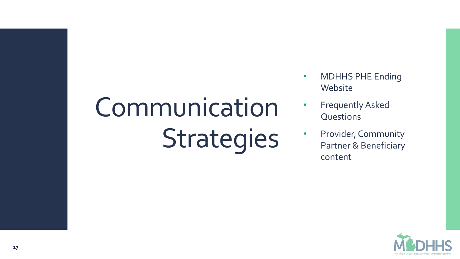## Communication Strategies

- MDHHS PHE Ending Website
- Frequently Asked **Questions**
- Provider, Community Partner & Beneficiary content

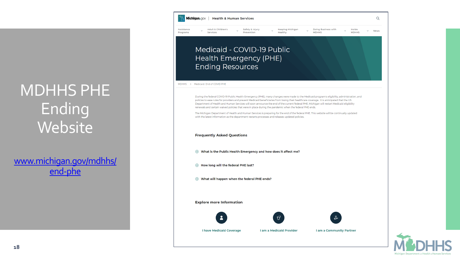### MDHHS PHE Ending **Website**

[www.michigan.gov/mdhhs/](http://www.cms.michigan.gov/mdhhs/end-phe) end-phe



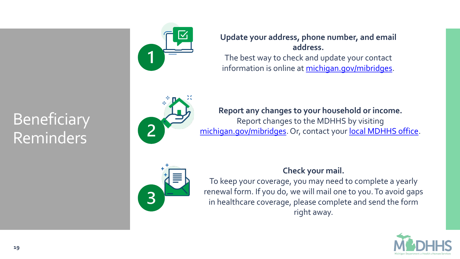

#### **Update your address, phone number, and email address.**  The best way to check and update your contact information is online at [michigan.gov/mibridges.](http://www.michigan.gov/mibridges)

**Report any changes to your household or income.** Report changes to the MDHHS by visiting michigan.gov/mibridges</u>. Or, contact your **local MDHHS office**.



#### **Check your mail.**

To keep your coverage, you may need to complete a yearly renewal form. If you do, we will mail one to you. To avoid gaps in healthcare coverage, please complete and send the form right away.



#### **Beneficiary** Reminders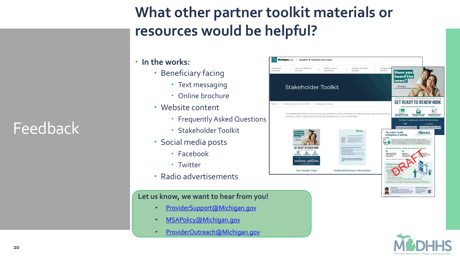#### **What other partner toolkit materials or resources would be helpful?**

- **In the works:**
	- Beneficiary facing
		- Text messaging
		- Online brochure
	- Website content
		- Frequently Asked Questions
		- Stakeholder Toolkit
	- Social media posts
		- Facebook
		- Twitter
	- Radio advertisements

#### **Let us know, we want to hear from you!**

- [ProviderSupport@Michigan.gov](mailto:ProviderSupport@Michigan.gov)
- [MSAPolicy@Michigan.gov](mailto:MSAPolicy@Michigan.gov)
- [ProviderOutreach@Michigan.gov](mailto:ProviderOutreach@Michigan.gov)

| Michigan.gov<br><b>Health &amp; Human Services</b>                                |                                                                                                                     |                                                                                                                                                                                                                                                                                                                                                                                                                   |
|-----------------------------------------------------------------------------------|---------------------------------------------------------------------------------------------------------------------|-------------------------------------------------------------------------------------------------------------------------------------------------------------------------------------------------------------------------------------------------------------------------------------------------------------------------------------------------------------------------------------------------------------------|
| Adult & Children's<br>lance<br>Services<br>ams                                    | Safety & Injury<br>Keeping Michigan<br>Prevention<br>Healthy                                                        | Doing Busine<br><b>MDHHS</b><br><b>Have you!</b><br>heard the                                                                                                                                                                                                                                                                                                                                                     |
| <b>Stakeholder Toolkit</b>                                                        |                                                                                                                     | news?<br>Michigan<br>will restart Medicaid eligibility re<br>Don't risk a gap in your Medicaid, Healthy Michigan Plan or MIChild coverage.                                                                                                                                                                                                                                                                        |
| (S > Medicaid: End of COVID PHE > Stakeholder Toolkit                             |                                                                                                                     | <b>GET READY TO RENEW NO</b><br>Following these steps will help determine if you still qualify                                                                                                                                                                                                                                                                                                                    |
| contains a variety of approved materials for organizations to use and distribute. | This Stakeholder Toolkit can be used by organizations to assist individuals with Medicaid coverage understand the u | ☑<br>≣<br><b>Make sure your contact</b><br>Check your mail or text<br>le your rene<br>information is up to date<br>unes for a letter.<br>form (if you get one).<br>For help or to update your contact information todoy:<br>Visit<br>or contact<br>Your Local MDHHS Office<br>michigan.gov/mibridges                                                                                                              |
| <b>Have you</b><br>heard the<br>news?<br>Michigan                                 | <b>M&amp;DHHS</b>                                                                                                   | The public health<br><b>MCDHHS</b><br>emergency is ending<br>۵<br>During the federal COVID-19 public health emergency (PHE) we stopped the<br>Medicald renewal process. Now that the federal PHE is ending, if you have Medicald,<br>Mithild, or Healthy Michigan Plan you may need to go through the renewal process.<br>This is to find if you still qualify for free or low-cost Medicaid healthcare coverage. |
| GET READY TO RENEW NOW.<br><b>Tour Local MOHHS Office</b>                         | with a war and<br>ming. Bd butts 10 REVIEW.                                                                         | Now that the PHE is ending, you need to do 3 things:<br>Θ<br>Update your address,<br><b>Report any</b><br>k your mail.<br>phone number, and<br>changes to your<br>y need to fill out<br><b>You</b><br>email address.<br>household or inc.<br>I form<br>aren<br>Learn more about what you read to do.                                                                                                              |
| "Get Ready" Flyer                                                                 | <b>Medicaid Renewal Information</b>                                                                                 | MI Bridges is here to<br>The MI Disposa website car<br>find resources, an<br><b>Litt Bridg</b><br>You can acq.<br>michigan.go<br>pinban<br>· Healthcar<br>. Food Assoc<br>· Cash Assistar                                                                                                                                                                                                                         |
|                                                                                   |                                                                                                                     | . Child Development + Care (CDC)<br>. State Emergency Relief (SER) - including utilities, housing, and burial oceas<br>MI Bridges can also help you search for state and local resources in your correnantly. If you<br>receive benefits, you can manage your case and renew benefits through your MI Bridges account.                                                                                            |
|                                                                                   |                                                                                                                     | Questions?<br><b>PHE Ending Toolkit</b><br>Call the Benefictory Help Line toll free at<br>To learn more about<br>藻<br>1-800-642-3195 (TTY: 1-866-501-5656). We are<br>the PHE ending go to<br>open Monday through Friday, 8 a.m. to 7 p.m.<br>«Sutura URL»                                                                                                                                                        |



Feedback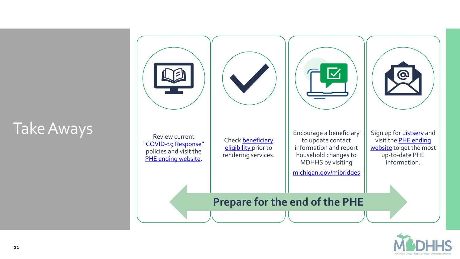

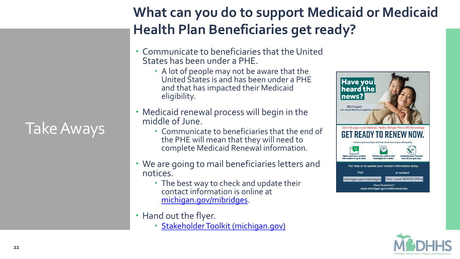## Take Aways

**What can you do to support Medicaid or Medicaid Health Plan Beneficiaries get ready?**

- Communicate to beneficiaries that the United States has been under a PHE.
	- A lot of people may not be aware that the United States is and has been under a PHE and that has impacted their Medicaid eligibility.
- Medicaid renewal process will begin in the middle of June.
	- Communicate to beneficiaries that the end of the PHE will mean that they will need to complete Medicaid Renewal information.
- We are going to mail beneficiaries letters and notices.
	- The best way to check and update their contact information is online at [michigan.gov/mibridges](http://www.michigan.gov/mibridges).
- Hand out the flyer.
	- · [Stakeholder Toolkit \(michigan.gov\)](https://www.michigan.gov/mdhhs/end-phe/stakeholder-toolkit)



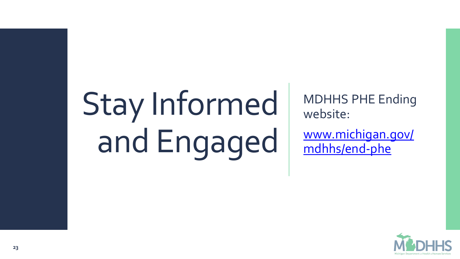# Stay Informed and Engaged

MDHHS PHE Ending website:

[www.michigan.gov/](http://www.michigan.gov/mdhhs/end-phe) mdhhs/end-phe